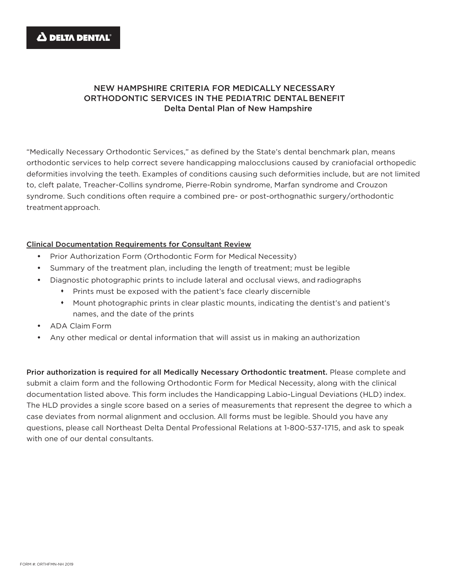## NEW HAMPSHIRE CRITERIA FOR MEDICALLY NECESSARY ORTHODONTIC SERVICES IN THE PEDIATRIC DENTALBENEFIT Delta Dental Plan of New Hampshire

"Medically Necessary Orthodontic Services," as defined by the State's dental benchmark plan, means orthodontic services to help correct severe handicapping malocclusions caused by craniofacial orthopedic deformities involving the teeth. Examples of conditions causing such deformities include, but are not limited to, cleft palate, Treacher-Collins syndrome, Pierre-Robin syndrome, Marfan syndrome and Crouzon syndrome. Such conditions often require a combined pre- or post-orthognathic surgery/orthodontic treatmentapproach.

## Clinical Documentation Requirements for Consultant Review

- Prior Authorization Form (Orthodontic Form for Medical Necessity)
- Summary of the treatment plan, including the length of treatment; must be legible
- Diagnostic photographic prints to include lateral and occlusal views, and radiographs
	- Prints must be exposed with the patient's face clearly discernible
	- Mount photographic prints in clear plastic mounts, indicating the dentist's and patient's names, and the date of the prints
- ADA Claim Form
- Any other medical or dental information that will assist us in making an authorization

Prior authorization is required for all Medically Necessary Orthodontic treatment. Please complete and submit a claim form and the following Orthodontic Form for Medical Necessity, along with the clinical documentation listed above. This form includes the Handicapping Labio-Lingual Deviations (HLD) index. The HLD provides a single score based on a series of measurements that represent the degree to which a case deviates from normal alignment and occlusion. All forms must be legible. Should you have any questions, please call Northeast Delta Dental Professional Relations at 1-800-537-1715, and ask to speak with one of our dental consultants.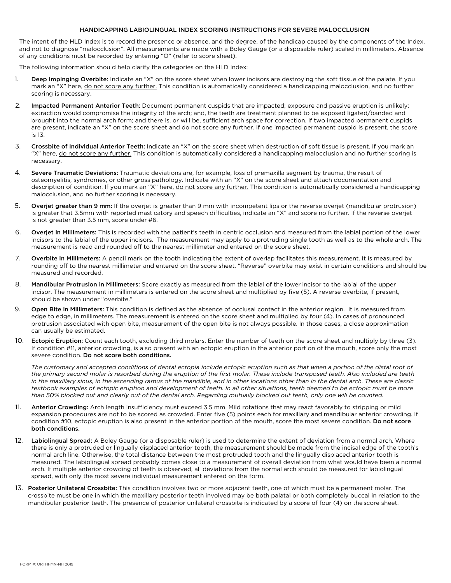## HANDICAPPING LABIOLINGUAL INDEX SCORING INSTRUCTIONS FOR SEVERE MALOCCLUSION

The intent of the HLD Index is to record the presence or absence, and the degree, of the handicap caused by the components of the Index, and not to diagnose "malocclusion". All measurements are made with a Boley Gauge (or a disposable ruler) scaled in millimeters. Absence of any conditions must be recorded by entering "O" (refer to score sheet).

The following information should help clarify the categories on the HLD Index:

- 1. Deep Impinging Overbite: Indicate an "X" on the score sheet when lower incisors are destroying the soft tissue of the palate. If you mark an "X" here, do not score any further. This condition is automatically considered a handicapping malocclusion, and no further scoring is necessary.
- 2. Impacted Permanent Anterior Teeth: Document permanent cuspids that are impacted; exposure and passive eruption is unlikely; extraction would compromise the integrity of the arch; and, the teeth are treatment planned to be exposed ligated/banded and brought into the normal arch form; and there is, or will be, sufficient arch space for correction. If two impacted permanent cuspids are present, indicate an "X" on the score sheet and do not score any further. If one impacted permanent cuspid is present, the score is 13.
- 3. Crossbite of Individual Anterior Teeth: Indicate an "X" on the score sheet when destruction of soft tissue is present. If you mark an "X" here, do not score any further. This condition is automatically considered a handicapping malocclusion and no further scoring is necessary.
- 4. Severe Traumatic Deviations: Traumatic deviations are, for example, loss of premaxilla segment by trauma, the result of osteomyelitis, syndromes, or other gross pathology. Indicate with an "X" on the score sheet and attach documentation and description of condition. If you mark an "X" here, do not score any further. This condition is automatically considered a handicapping malocclusion, and no further scoring is necessary.
- 5. Overjet greater than 9 mm: If the overjet is greater than 9 mm with incompetent lips or the reverse overjet (mandibular protrusion) is greater that 3.5mm with reported masticatory and speech difficulties, indicate an "X" and score no further. If the reverse overjet is not greater than 3.5 mm, score under #6.
- 6. Overjet in Millimeters: This is recorded with the patient's teeth in centric occlusion and measured from the labial portion of the lower incisors to the labial of the upper incisors. The measurement may apply to a protruding single tooth as well as to the whole arch. The measurement is read and rounded off to the nearest millimeter and entered on the score sheet.
- 7. Overbite in Millimeters: A pencil mark on the tooth indicating the extent of overlap facilitates this measurement. It is measured by rounding off to the nearest millimeter and entered on the score sheet. "Reverse" overbite may exist in certain conditions and should be measured and recorded.
- 8. Mandibular Protrusion in Millimeters: Score exactly as measured from the labial of the lower incisor to the labial of the upper incisor. The measurement in millimeters is entered on the score sheet and multiplied by five (5). A reverse overbite, if present, should be shown under "overbite."
- 9. Open Bite in Millimeters: This condition is defined as the absence of occlusal contact in the anterior region. It is measured from edge to edge, in millimeters. The measurement is entered on the score sheet and multiplied by four (4). In cases of pronounced protrusion associated with open bite, measurement of the open bite is not always possible. In those cases, a close approximation can usually be estimated.
- 10. Ectopic Eruption: Count each tooth, excluding third molars. Enter the number of teeth on the score sheet and multiply by three (3). If condition #11, anterior crowding, is also present with an ectopic eruption in the anterior portion of the mouth, score only the most severe condition. Do not score both conditions.

The customary and accepted conditions of dental ectopia include ectopic eruption such as that when a portion of the distal root of *the primary second molar is resorbed during the eruption of the first molar. These include transposed teeth. Also included are teeth in the maxillary sinus, in the ascending ramus of the mandible, and in other locations other than in the dental arch. These are classic*  textbook examples of ectopic eruption and development of teeth. In all other situations, teeth deemed to be ectopic must be more *than 50% blocked out and clearly out of the dental arch. Regarding mutually blocked out teeth, only one will be counted.*

- 11.Anterior Crowding: Arch length insufficiency must exceed 3.5 mm. Mild rotations that may react favorably to stripping or mild expansion procedures are not to be scored as crowded. Enter five (5) points each for maxillary and mandibular anterior crowding. If condition #10, ectopic eruption is also present in the anterior portion of the mouth, score the most severe condition. Do not score both conditions.
- 12. Labiolingual Spread: A Boley Gauge (or a disposable ruler) is used to determine the extent of deviation from a normal arch. Where there is only a protruded or lingually displaced anterior tooth, the measurement should be made from the incisal edge of the tooth's normal arch line. Otherwise, the total distance between the most protruded tooth and the lingually displaced anterior tooth is measured. The labiolingual spread probably comes close to a measurement of overall deviation from what would have been a normal arch. If multiple anterior crowding of teeth is observed, all deviations from the normal arch should be measured for labiolingual spread, with only the most severe individual measurement entered on the form.
- 13. Posterior Unilateral Crossbite: This condition involves two or more adjacent teeth, one of which must be a permanent molar. The crossbite must be one in which the maxillary posterior teeth involved may be both palatal or both completely buccal in relation to the mandibular posterior teeth. The presence of posterior unilateral crossbite is indicated by a score of four (4) on the score sheet.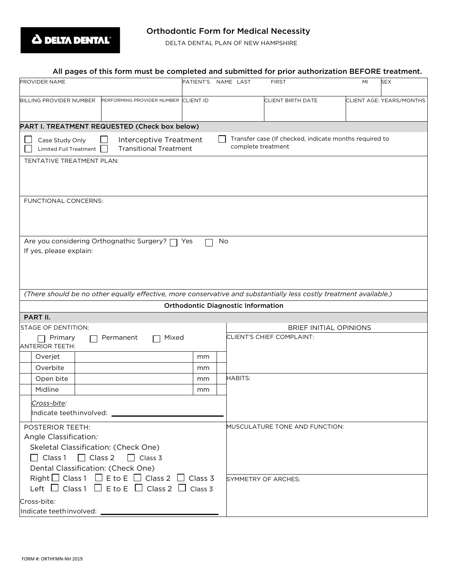

## Orthodontic Form for Medical Necessity

DELTA DENTAL PLAN OF NEW HAMPSHIRE

|                                           | All pages of this form must be completed and submitted for prior authorization BEFORE treatment.                                    |                     |    |                                           |                                                        |                        |                          |
|-------------------------------------------|-------------------------------------------------------------------------------------------------------------------------------------|---------------------|----|-------------------------------------------|--------------------------------------------------------|------------------------|--------------------------|
| PROVIDER NAME                             |                                                                                                                                     | PATIENT'S NAME LAST |    |                                           | <b>FIRST</b>                                           | MI                     | <b>SEX</b>               |
| <b>BILLING PROVIDER NUMBER</b>            | PERFORMING PROVIDER NUMBER CLIENT ID                                                                                                |                     |    |                                           | <b>CLIENT BIRTH DATE</b>                               |                        | CLIENT AGE: YEARS/MONTHS |
|                                           | PART I. TREATMENT REQUESTED (Check box below)                                                                                       |                     |    |                                           |                                                        |                        |                          |
| Case Study Only<br>Limited Full Treatment | Interceptive Treatment<br><b>Transitional Treatment</b>                                                                             |                     |    | complete treatment                        | Transfer case (If checked, indicate months required to |                        |                          |
| TENTATIVE TREATMENT PLAN:                 |                                                                                                                                     |                     |    |                                           |                                                        |                        |                          |
| FUNCTIONAL CONCERNS:                      |                                                                                                                                     |                     |    |                                           |                                                        |                        |                          |
| If yes, please explain:                   | Are you considering Orthognathic Surgery? □ Yes                                                                                     |                     | No |                                           |                                                        |                        |                          |
|                                           | (There should be no other equally effective, more conservative and substantially less costly treatment available.)                  |                     |    | <b>Orthodontic Diagnostic Information</b> |                                                        |                        |                          |
| PART II.                                  |                                                                                                                                     |                     |    |                                           |                                                        |                        |                          |
| <b>STAGE OF DENTITION:</b>                |                                                                                                                                     |                     |    |                                           |                                                        | BRIEF INITIAL OPINIONS |                          |
| Primary<br><b>ANTERIOR TEETH:</b>         | Mixed<br>Permanent                                                                                                                  |                     |    |                                           | CLIENT'S CHIEF COMPLAINT:                              |                        |                          |
| Overjet                                   |                                                                                                                                     | mm                  |    |                                           |                                                        |                        |                          |
| Overbite                                  |                                                                                                                                     | mm                  |    |                                           |                                                        |                        |                          |
| Open bite                                 |                                                                                                                                     | mm                  |    | <b>HABITS:</b>                            |                                                        |                        |                          |
| Midline                                   |                                                                                                                                     | mm                  |    |                                           |                                                        |                        |                          |
| Cross-bite:                               |                                                                                                                                     |                     |    |                                           |                                                        |                        |                          |
| POSTERIOR TEETH:<br>Angle Classification: | Skeletal Classification: (Check One)<br>$\Box$ Class 1 $\Box$ Class 2 $\Box$ Class 3<br>Dental Classification: (Check One)          |                     |    |                                           | MUSCULATURE TONE AND FUNCTION:                         |                        |                          |
| Cross-bite:                               | Right $\Box$ Class 1 $\Box$ E to E $\Box$ Class 2 $\Box$ Class 3<br>Left $\Box$ Class 1 $\Box$ E to E $\Box$ Class 2 $\Box$ Class 3 |                     |    |                                           | SYMMETRY OF ARCHES:                                    |                        |                          |
|                                           |                                                                                                                                     |                     |    |                                           |                                                        |                        |                          |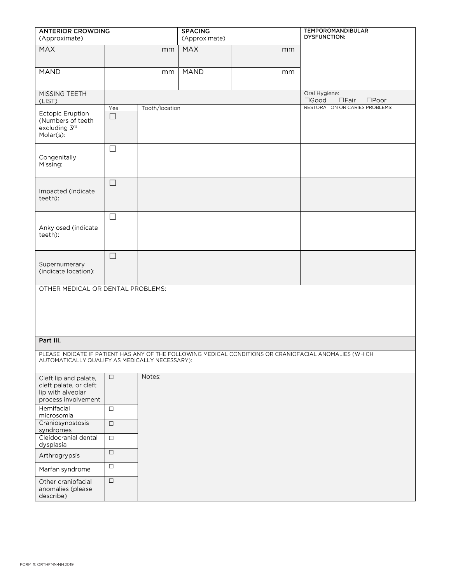| <b>ANTERIOR CROWDING</b><br>(Approximate)                                                   |               |                | <b>SPACING</b><br>(Approximate) |    | <b>TEMPOROMANDIBULAR</b><br><b>DYSFUNCTION:</b>                                                         |
|---------------------------------------------------------------------------------------------|---------------|----------------|---------------------------------|----|---------------------------------------------------------------------------------------------------------|
| <b>MAX</b>                                                                                  |               | mm             | MAX                             | mm |                                                                                                         |
| <b>MAND</b>                                                                                 |               | mm             | <b>MAND</b>                     | mm |                                                                                                         |
| MISSING TEETH<br>(LIST)                                                                     |               |                |                                 |    | Oral Hygiene:<br>$\square$ Good<br>$\square$ Fair<br>$\square$ Poor                                     |
| <b>Ectopic Eruption</b><br>(Numbers of teeth<br>excluding 3rd<br>Molar(s):                  | Yes<br>$\Box$ | Tooth/location |                                 |    | RESTORATION OR CARIES PROBLEMS:                                                                         |
| Congenitally<br>Missing:                                                                    | $\Box$        |                |                                 |    |                                                                                                         |
| Impacted (indicate<br>teeth):                                                               | $\Box$        |                |                                 |    |                                                                                                         |
| Ankylosed (indicate<br>teeth):                                                              | $\Box$        |                |                                 |    |                                                                                                         |
| Supernumerary<br>(indicate location):                                                       | $\Box$        |                |                                 |    |                                                                                                         |
| OTHER MEDICAL OR DENTAL PROBLEMS:                                                           |               |                |                                 |    |                                                                                                         |
| Part III.                                                                                   |               |                |                                 |    |                                                                                                         |
| AUTOMATICALLY QUALIFY AS MEDICALLY NECESSARY):                                              |               |                |                                 |    | PLEASE INDICATE IF PATIENT HAS ANY OF THE FOLLOWING MEDICAL CONDITIONS OR CRANIOFACIAL ANOMALIES (WHICH |
| Cleft lip and palate,<br>cleft palate, or cleft<br>lip with alveolar<br>process involvement | $\Box$        | Notes:         |                                 |    |                                                                                                         |
| Hemifacial<br>microsomia                                                                    | $\Box$        |                |                                 |    |                                                                                                         |
| Craniosynostosis<br>syndromes                                                               | $\Box$        |                |                                 |    |                                                                                                         |
| Cleidocranial dental<br>dysplasia                                                           | $\Box$        |                |                                 |    |                                                                                                         |
| Arthrogrypsis                                                                               | $\Box$        |                |                                 |    |                                                                                                         |
| Marfan syndrome                                                                             | $\Box$        |                |                                 |    |                                                                                                         |
| Other craniofacial<br>anomalies (please<br>describe)                                        | $\Box$        |                |                                 |    |                                                                                                         |